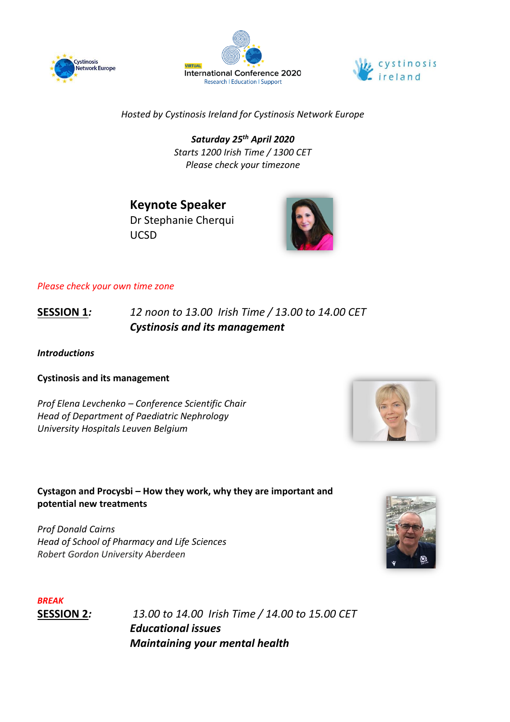





*Hosted by Cystinosis Ireland for Cystinosis Network Europe*

*Saturday 25th April 2020 Starts 1200 Irish Time / 1300 CET Please check your timezone*

**Keynote Speaker** Dr Stephanie Cherqui UCSD

## *Please check your own time zone*

**SESSION 1***: 12 noon to 13.00 Irish Time / 13.00 to 14.00 CET Cystinosis and its management*

*Introductions*

**Cystinosis and its management**

*Prof Elena Levchenko – Conference Scientific Chair Head of Department of Paediatric Nephrology University Hospitals Leuven Belgium*



**Cystagon and Procysbi – How they work, why they are important and potential new treatments** 

*Prof Donald Cairns Head of School of Pharmacy and Life Sciences Robert Gordon University Aberdeen*



*BREAK*

**SESSION 2***: 13.00 to 14.00 Irish Time / 14.00 to 15.00 CET Educational issues Maintaining your mental health*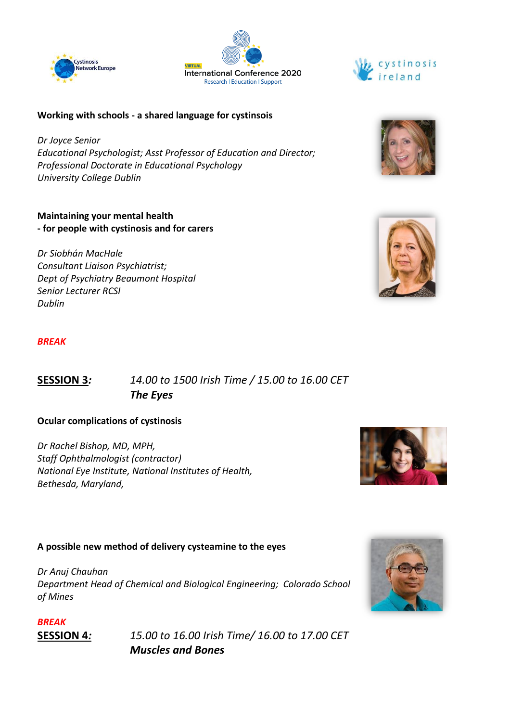





#### **Working with schools - a shared language for cystinsois**

*Dr Joyce Senior Educational Psychologist; Asst Professor of Education and Director; Professional Doctorate in Educational Psychology University College Dublin*

#### **Maintaining your mental health - for people with cystinosis and for carers**

*Dr Siobhán MacHale Consultant Liaison Psychiatrist; Dept of Psychiatry Beaumont Hospital Senior Lecturer RCSI Dublin*

## *BREAK*

# **SESSION 3***: 14.00 to 1500 Irish Time / 15.00 to 16.00 CET The Eyes*

#### **Ocular complications of cystinosis**

*Dr Rachel Bishop, MD, MPH, Staff Ophthalmologist (contractor) National Eye Institute, National Institutes of Health, Bethesda, Maryland,* 

# **A possible new method of delivery cysteamine to the eyes**

*Dr Anuj Chauhan Department Head of Chemical and Biological Engineering; Colorado School of Mines*





**SESSION 4***: 15.00 to 16.00 Irish Time/ 16.00 to 17.00 CET Muscles and Bones*



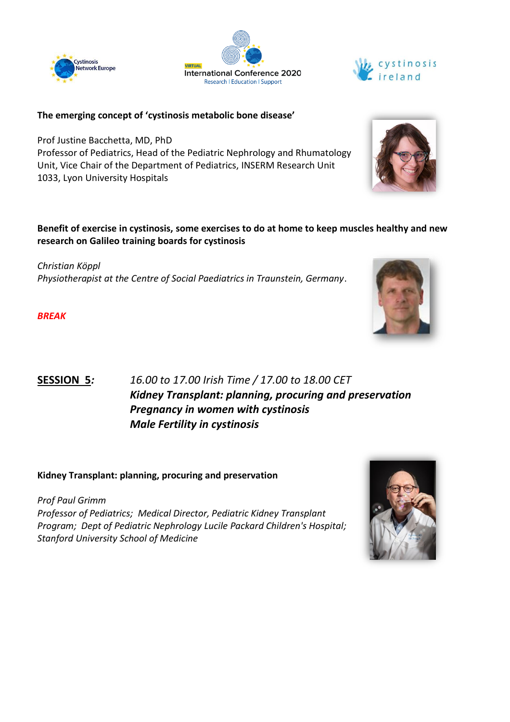





#### **The emerging concept of 'cystinosis metabolic bone disease'**

Prof Justine Bacchetta, MD, PhD Professor of Pediatrics, Head of the Pediatric Nephrology and Rhumatology Unit, Vice Chair of the Department of Pediatrics, INSERM Research Unit 1033, Lyon University Hospitals

#### **Benefit of exercise in cystinosis, some exercises to do at home to keep muscles healthy and new research on Galileo training boards for cystinosis**

*Christian Köppl Physiotherapist at the Centre of Social Paediatrics in Traunstein, Germany*.

*BREAK*



## **Kidney Transplant: planning, procuring and preservation**

*Prof Paul Grimm Professor of Pediatrics; Medical Director, Pediatric Kidney Transplant Program; Dept of Pediatric Nephrology Lucile Packard Children's Hospital; Stanford University School of Medicine*





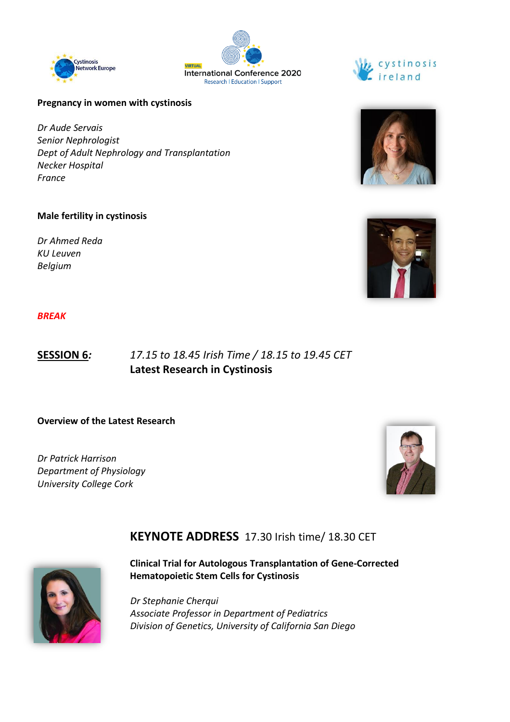





#### **Pregnancy in women with cystinosis**

*Dr Aude Servais Senior Nephrologist Dept of Adult Nephrology and Transplantation Necker Hospital France*

#### **Male fertility in cystinosis**

*Dr Ahmed Reda KU Leuven Belgium*



#### *BREAK*

# **SESSION 6***: 17.15 to 18.45 Irish Time / 18.15 to 19.45 CET* **Latest Research in Cystinosis**

**Overview of the Latest Research**

*Dr Patrick Harrison Department of Physiology University College Cork*



# **KEYNOTE ADDRESS** 17.30 Irish time/ 18.30 CET



**Clinical Trial for Autologous Transplantation of Gene-Corrected Hematopoietic Stem Cells for Cystinosis**

*Dr Stephanie Cherqui Associate Professor in Department of Pediatrics Division of Genetics, University of California San Diego*